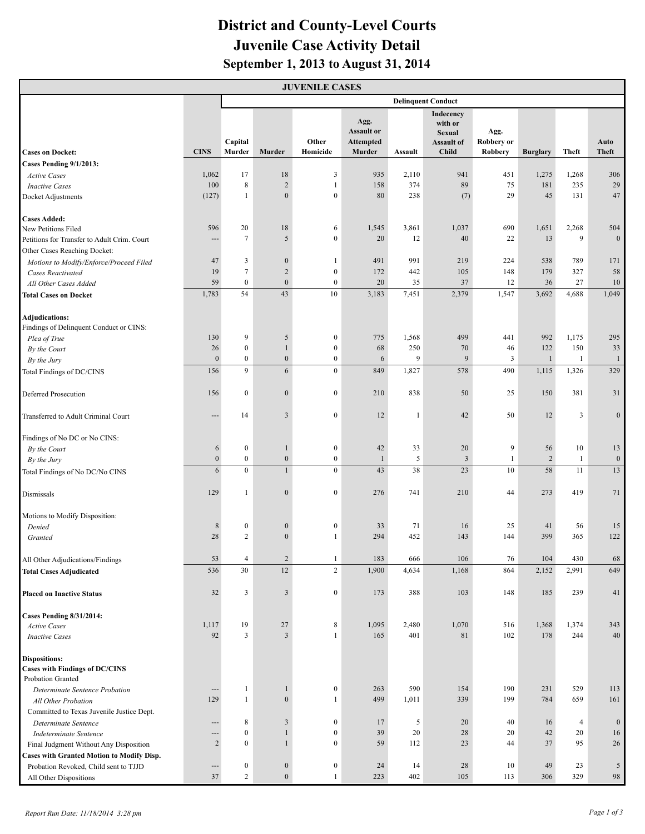## **District and County-Level Courts Juvenile Case Activity Detail September 1, 2013 to August 31, 2014**

| <b>JUVENILE CASES</b>                                                               |                               |                           |                  |                  |                                               |              |                                                                     |                           |                 |                |                  |
|-------------------------------------------------------------------------------------|-------------------------------|---------------------------|------------------|------------------|-----------------------------------------------|--------------|---------------------------------------------------------------------|---------------------------|-----------------|----------------|------------------|
|                                                                                     |                               | <b>Delinquent Conduct</b> |                  |                  |                                               |              |                                                                     |                           |                 |                |                  |
|                                                                                     | <b>CINS</b>                   | Capital                   |                  | Other            | Agg.<br><b>Assault or</b><br><b>Attempted</b> |              | Indecency<br>with or<br><b>Sexual</b><br>Assault of<br><b>Child</b> | Agg.<br><b>Robbery</b> or |                 |                | Auto             |
| <b>Cases on Docket:</b>                                                             |                               | Murder                    | Murder           | Homicide         | Murder                                        | Assault      |                                                                     | Robbery                   | <b>Burglary</b> | Theft          | <b>Theft</b>     |
| Cases Pending 9/1/2013:<br><b>Active Cases</b>                                      | 1,062                         | 17                        | 18               | 3                | 935                                           | 2,110        | 941                                                                 | 451                       | 1,275           | 1,268          | 306              |
| <b>Inactive Cases</b>                                                               | 100                           | $\,8\,$                   | $\overline{c}$   | $\mathbf{1}$     | 158                                           | 374          | 89                                                                  | 75                        | 181             | 235            | 29               |
| Docket Adjustments                                                                  | (127)                         | $\mathbf{1}$              | $\mathbf{0}$     | $\mathbf{0}$     | 80                                            | 238          | (7)                                                                 | 29                        | 45              | 131            | 47               |
| <b>Cases Added:</b>                                                                 |                               |                           |                  |                  |                                               |              |                                                                     |                           |                 |                |                  |
| New Petitions Filed                                                                 | 596                           | 20                        | 18               | 6                | 1,545                                         | 3,861        | 1,037                                                               | 690                       | 1,651           | 2,268          | 504              |
| Petitions for Transfer to Adult Crim. Court<br>Other Cases Reaching Docket:         | $\overline{a}$                | $7\phantom{.0}$           | 5                | $\boldsymbol{0}$ | 20                                            | 12           | 40                                                                  | 22                        | 13              | 9              | $\mathbf{0}$     |
| Motions to Modify/Enforce/Proceed Filed                                             | 47                            | 3                         | $\mathbf{0}$     | $\mathbf{1}$     | 491                                           | 991          | 219                                                                 | 224                       | 538             | 789            | 171              |
| <b>Cases Reactivated</b>                                                            | 19                            | $\tau$                    | $\overline{2}$   | $\boldsymbol{0}$ | 172                                           | 442          | 105                                                                 | 148                       | 179             | 327            | 58               |
| All Other Cases Added                                                               | 59                            | $\mathbf{0}$              | $\mathbf{0}$     | $\boldsymbol{0}$ | 20                                            | 35           | 37                                                                  | 12                        | 36              | 27             | $10\,$           |
| <b>Total Cases on Docket</b>                                                        | 1,783                         | 54                        | 43               | 10               | 3,183                                         | 7,451        | 2,379                                                               | 1,547                     | 3,692           | 4,688          | 1,049            |
| Adjudications:<br>Findings of Delinquent Conduct or CINS:                           |                               |                           |                  |                  |                                               |              |                                                                     |                           |                 |                |                  |
| Plea of True                                                                        | 130                           | 9                         | 5                | $\boldsymbol{0}$ | 775                                           | 1,568        | 499                                                                 | 441                       | 992             | 1,175          | 295              |
| By the Court                                                                        | 26                            | $\boldsymbol{0}$          | $\mathbf{1}$     | $\boldsymbol{0}$ | 68                                            | 250          | 70                                                                  | 46                        | 122             | 150            | 33               |
| By the Jury                                                                         | $\mathbf{0}$                  | $\boldsymbol{0}$          | $\boldsymbol{0}$ | $\boldsymbol{0}$ | 6                                             | 9            | 9                                                                   | 3                         | $\mathbf{1}$    | $\mathbf{1}$   | $\mathbf{1}$     |
| Total Findings of DC/CINS                                                           | 156                           | 9                         | 6                | $\boldsymbol{0}$ | 849                                           | 1,827        | 578                                                                 | 490                       | 1,115           | 1,326          | 329              |
| <b>Deferred Prosecution</b>                                                         | 156                           | $\boldsymbol{0}$          | $\mathbf{0}$     | $\boldsymbol{0}$ | 210                                           | 838          | 50                                                                  | 25                        | 150             | 381            | 31               |
| Transferred to Adult Criminal Court                                                 | $\overline{a}$                | 14                        | $\overline{3}$   | $\boldsymbol{0}$ | 12                                            | $\mathbf{1}$ | 42                                                                  | 50                        | 12              | 3              | $\mathbf{0}$     |
| Findings of No DC or No CINS:                                                       |                               |                           |                  |                  |                                               |              |                                                                     |                           |                 |                |                  |
| By the Court                                                                        | 6                             | $\bf{0}$                  | $\mathbf{1}$     | $\boldsymbol{0}$ | 42                                            | 33           | 20                                                                  | 9                         | 56              | 10             | 13               |
| By the Jury                                                                         | $\boldsymbol{0}$              | $\boldsymbol{0}$          | $\mathbf{0}$     | $\boldsymbol{0}$ | $\mathbf{1}$                                  | 5            | $\overline{3}$                                                      | $\mathbf{1}$              | $\overline{2}$  | $\mathbf{1}$   | $\boldsymbol{0}$ |
| Total Findings of No DC/No CINS                                                     | 6                             | $\mathbf{0}$              | $\mathbf{1}$     | $\boldsymbol{0}$ | 43                                            | 38           | 23                                                                  | 10                        | 58              | 11             | 13               |
| Dismissals                                                                          | 129                           | $\mathbf{1}$              | $\mathbf{0}$     | $\boldsymbol{0}$ | 276                                           | 741          | 210                                                                 | 44                        | 273             | 419            | 71               |
| Motions to Modify Disposition:                                                      |                               |                           |                  |                  |                                               |              |                                                                     |                           |                 |                |                  |
| Denied                                                                              | 8                             | $\boldsymbol{0}$          | $\boldsymbol{0}$ | $\boldsymbol{0}$ | 33                                            | 71           | 16                                                                  | 25                        | 41              | 56             | 15               |
| Granted                                                                             | 28                            | $\overline{c}$            | $\mathbf{0}$     | $\mathbf{1}$     | 294                                           | 452          | 143                                                                 | 144                       | 399             | 365            | 122              |
| All Other Adjudications/Findings                                                    | 53                            | $\overline{4}$            | $\overline{c}$   | $\mathbf{1}$     | 183                                           | 666          | 106                                                                 | 76                        | 104             | 430            | 68               |
| <b>Total Cases Adjudicated</b>                                                      | 536                           | 30                        | 12               | $\overline{c}$   | 1,900                                         | 4,634        | 1,168                                                               | 864                       | 2,152           | 2,991          | 649              |
| <b>Placed on Inactive Status</b>                                                    | 32                            | 3                         | $\mathfrak{Z}$   | $\boldsymbol{0}$ | 173                                           | 388          | 103                                                                 | 148                       | 185             | 239            | 41               |
| <b>Cases Pending 8/31/2014:</b>                                                     |                               |                           |                  |                  |                                               |              |                                                                     |                           |                 |                |                  |
| <b>Active Cases</b>                                                                 | 1,117                         | 19                        | 27               | $\,$ 8 $\,$      | 1,095                                         | 2,480        | 1,070                                                               | 516                       | 1,368           | 1,374          | 343              |
| <b>Inactive Cases</b>                                                               | 92                            | $\overline{3}$            | $\overline{3}$   | $\mathbf{1}$     | 165                                           | 401          | 81                                                                  | 102                       | 178             | 244            | 40               |
| <b>Dispositions:</b><br><b>Cases with Findings of DC/CINS</b>                       |                               |                           |                  |                  |                                               |              |                                                                     |                           |                 |                |                  |
| Probation Granted                                                                   |                               |                           |                  |                  |                                               |              |                                                                     |                           |                 |                |                  |
| Determinate Sentence Probation                                                      | ---                           | $\mathbf{1}$              | $\mathbf{1}$     | $\boldsymbol{0}$ | 263                                           | 590          | 154                                                                 | 190                       | 231             | 529            | 113              |
| All Other Probation                                                                 | 129                           | $\mathbf{1}$              | $\boldsymbol{0}$ | $\mathbf{1}$     | 499                                           | 1,011        | 339                                                                 | 199                       | 784             | 659            | 161              |
| Committed to Texas Juvenile Justice Dept.                                           |                               |                           |                  |                  |                                               |              |                                                                     |                           |                 |                |                  |
| Determinate Sentence                                                                | $---$                         | 8                         | $\mathfrak{Z}$   | $\boldsymbol{0}$ | 17                                            | 5            | 20                                                                  | 40                        | 16              | $\overline{4}$ | $\boldsymbol{0}$ |
| Indeterminate Sentence                                                              | $\hspace{1.5cm} \textbf{---}$ | $\boldsymbol{0}$          | $\mathbf{1}$     | $\boldsymbol{0}$ | 39                                            | 20           | 28                                                                  | 20                        | 42              | 20             | 16               |
| Final Judgment Without Any Disposition<br>Cases with Granted Motion to Modify Disp. | $\overline{c}$                | $\boldsymbol{0}$          | $\mathbf{1}$     | $\boldsymbol{0}$ | 59                                            | 112          | 23                                                                  | 44                        | 37              | 95             | 26               |
| Probation Revoked, Child sent to TJJD                                               | ---                           | $\boldsymbol{0}$          | $\boldsymbol{0}$ | $\boldsymbol{0}$ | 24                                            | 14           | 28                                                                  | 10                        | 49              | 23             | $\sqrt{5}$       |
| All Other Dispositions                                                              | 37                            | $\overline{c}$            | $\mathbf{0}$     | $\mathbf{1}$     | 223                                           | 402          | 105                                                                 | 113                       | 306             | 329            | 98               |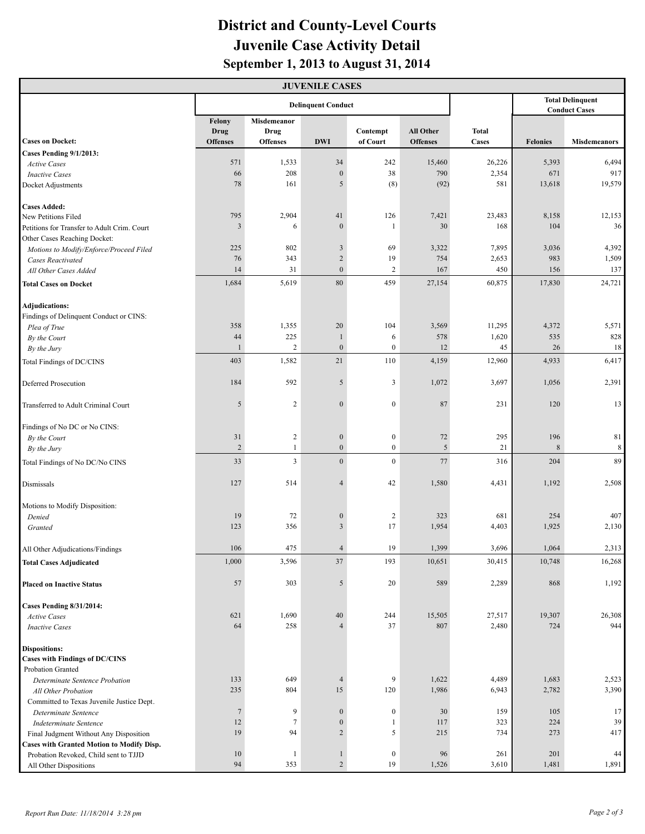## **District and County-Level Courts Juvenile Case Activity Detail September 1, 2013 to August 31, 2014**

| <b>JUVENILE CASES</b>                                         |                                   |                                               |                            |                      |                              |                              |                                                 |                     |  |  |  |
|---------------------------------------------------------------|-----------------------------------|-----------------------------------------------|----------------------------|----------------------|------------------------------|------------------------------|-------------------------------------------------|---------------------|--|--|--|
|                                                               | <b>Delinquent Conduct</b>         |                                               |                            |                      |                              |                              | <b>Total Delinquent</b><br><b>Conduct Cases</b> |                     |  |  |  |
| <b>Cases on Docket:</b>                                       | Felony<br>Drug<br><b>Offenses</b> | <b>Misdemeanor</b><br>Drug<br><b>Offenses</b> | <b>DWI</b>                 | Contempt<br>of Court | All Other<br><b>Offenses</b> | <b>Total</b><br><b>Cases</b> | <b>Felonies</b>                                 | <b>Misdemeanors</b> |  |  |  |
| Cases Pending 9/1/2013:                                       |                                   |                                               |                            |                      |                              |                              |                                                 |                     |  |  |  |
| <b>Active Cases</b>                                           | 571                               | 1,533                                         | 34                         | 242                  | 15,460                       | 26,226                       | 5,393                                           | 6,494               |  |  |  |
| <b>Inactive Cases</b>                                         | 66                                | 208                                           | $\mathbf{0}$               | 38                   | 790                          | 2,354                        | 671                                             | 917                 |  |  |  |
| Docket Adjustments                                            | 78                                | 161                                           | 5                          | (8)                  | (92)                         | 581                          | 13,618                                          | 19,579              |  |  |  |
| <b>Cases Added:</b>                                           |                                   |                                               |                            |                      |                              |                              |                                                 |                     |  |  |  |
| New Petitions Filed                                           | 795                               | 2,904                                         | 41                         | 126                  | 7,421                        | 23,483                       | 8,158                                           | 12,153              |  |  |  |
| Petitions for Transfer to Adult Crim. Court                   | $\mathfrak{Z}$                    | 6                                             | $\overline{0}$             | 1                    | 30                           | 168                          | 104                                             | 36                  |  |  |  |
| Other Cases Reaching Docket:                                  |                                   |                                               |                            |                      |                              |                              |                                                 |                     |  |  |  |
| Motions to Modify/Enforce/Proceed Filed                       | 225                               | 802                                           | $\mathfrak{Z}$             | 69                   | 3,322<br>754                 | 7,895                        | 3,036                                           | 4,392               |  |  |  |
| <b>Cases Reactivated</b>                                      | 76<br>14                          | 343<br>31                                     | $\sqrt{2}$<br>$\mathbf{0}$ | 19<br>2              | 167                          | 2,653<br>450                 | 983<br>156                                      | 1,509<br>137        |  |  |  |
| All Other Cases Added<br><b>Total Cases on Docket</b>         | 1,684                             | 5,619                                         | $80\,$                     | 459                  | 27,154                       | 60,875                       | 17,830                                          | 24,721              |  |  |  |
|                                                               |                                   |                                               |                            |                      |                              |                              |                                                 |                     |  |  |  |
| <b>Adjudications:</b>                                         |                                   |                                               |                            |                      |                              |                              |                                                 |                     |  |  |  |
| Findings of Delinquent Conduct or CINS:<br>Plea of True       | 358                               | 1,355                                         | 20                         | 104                  | 3,569                        | 11,295                       | 4,372                                           | 5,571               |  |  |  |
| By the Court                                                  | 44                                | 225                                           | $\mathbf{1}$               | 6                    | 578                          | 1,620                        | 535                                             | 828                 |  |  |  |
| By the Jury                                                   | 1                                 | $\overline{c}$                                | $\mathbf{0}$               | $\boldsymbol{0}$     | 12                           | 45                           | 26                                              | 18                  |  |  |  |
| Total Findings of DC/CINS                                     | 403                               | 1,582                                         | 21                         | 110                  | 4,159                        | 12,960                       | 4,933                                           | 6,417               |  |  |  |
| <b>Deferred Prosecution</b>                                   | 184                               | 592                                           | 5                          | 3                    | 1,072                        | 3,697                        | 1,056                                           | 2,391               |  |  |  |
| Transferred to Adult Criminal Court                           | 5                                 | $\overline{c}$                                | $\mathbf{0}$               | $\boldsymbol{0}$     | 87                           | 231                          | 120                                             | 13                  |  |  |  |
| Findings of No DC or No CINS:                                 |                                   |                                               |                            |                      |                              |                              |                                                 |                     |  |  |  |
| By the Court                                                  | 31                                | $\overline{c}$                                | $\boldsymbol{0}$           | $\boldsymbol{0}$     | 72                           | 295                          | 196                                             | 81                  |  |  |  |
| By the Jury                                                   | $\sqrt{2}$                        | $\mathbf{1}$                                  | $\mathbf{0}$               | $\boldsymbol{0}$     | 5                            | 21                           | 8                                               | $\,8\,$             |  |  |  |
| Total Findings of No DC/No CINS                               | 33                                | 3                                             | $\mathbf{0}$               | $\bf{0}$             | 77                           | 316                          | 204                                             | 89                  |  |  |  |
| Dismissals                                                    | 127                               | 514                                           | $\overline{4}$             | 42                   | 1,580                        | 4,431                        | 1,192                                           | 2,508               |  |  |  |
| Motions to Modify Disposition:                                |                                   |                                               |                            |                      |                              |                              |                                                 |                     |  |  |  |
| Denied                                                        | 19                                | 72                                            | $\boldsymbol{0}$           | 2                    | 323                          | 681                          | 254                                             | 407                 |  |  |  |
| Granted                                                       | 123                               | 356                                           | $\overline{3}$             | 17                   | 1,954                        | 4,403                        | 1,925                                           | 2,130               |  |  |  |
| All Other Adjudications/Findings                              | 106                               | 475                                           | $\overline{4}$             | 19                   | 1,399                        | 3,696                        | 1,064                                           | 2,313               |  |  |  |
| <b>Total Cases Adjudicated</b>                                | 1,000                             | 3,596                                         | 37                         | 193                  | 10,651                       | 30,415                       | 10,748                                          | 16,268              |  |  |  |
| <b>Placed on Inactive Status</b>                              | 57                                | 303                                           | 5                          | 20                   | 589                          | 2,289                        | 868                                             | 1,192               |  |  |  |
| <b>Cases Pending 8/31/2014:</b>                               |                                   |                                               |                            |                      |                              |                              |                                                 |                     |  |  |  |
| <b>Active Cases</b>                                           | 621                               | 1,690                                         | 40                         | 244                  | 15,505                       | 27,517                       | 19,307                                          | 26,308              |  |  |  |
| <b>Inactive Cases</b>                                         | 64                                | 258                                           |                            | 37                   | 807                          | 2,480                        | 724                                             | 944                 |  |  |  |
| <b>Dispositions:</b><br><b>Cases with Findings of DC/CINS</b> |                                   |                                               |                            |                      |                              |                              |                                                 |                     |  |  |  |
| <b>Probation Granted</b>                                      |                                   |                                               |                            |                      |                              |                              |                                                 |                     |  |  |  |
| Determinate Sentence Probation                                | 133                               | 649                                           | $\overline{4}$             | 9                    | 1,622                        | 4,489                        | 1,683                                           | 2,523               |  |  |  |
| All Other Probation                                           | 235                               | 804                                           | 15                         | 120                  | 1,986                        | 6,943                        | 2,782                                           | 3,390               |  |  |  |
| Committed to Texas Juvenile Justice Dept.                     |                                   |                                               |                            |                      |                              |                              |                                                 |                     |  |  |  |
| Determinate Sentence                                          | $\overline{7}$                    | 9                                             | $\boldsymbol{0}$           | $\boldsymbol{0}$     | 30                           | 159                          | 105                                             | 17                  |  |  |  |
| <b>Indeterminate Sentence</b>                                 | 12                                | $\overline{7}$                                | $\mathbf{0}$               | 1                    | 117                          | 323                          | 224                                             | 39                  |  |  |  |
| Final Judgment Without Any Disposition                        | 19                                | 94                                            | 2                          | 5                    | 215                          | 734                          | 273                                             | 417                 |  |  |  |
| <b>Cases with Granted Motion to Modify Disp.</b>              |                                   |                                               |                            |                      |                              |                              |                                                 |                     |  |  |  |
| Probation Revoked, Child sent to TJJD                         | 10                                | 1                                             | $\mathbf{1}$               | $\boldsymbol{0}$     | 96                           | 261                          | 201                                             | 44                  |  |  |  |
| All Other Dispositions                                        | 94                                | 353                                           | $\overline{c}$             | 19                   | 1,526                        | 3,610                        | 1,481                                           | 1,891               |  |  |  |